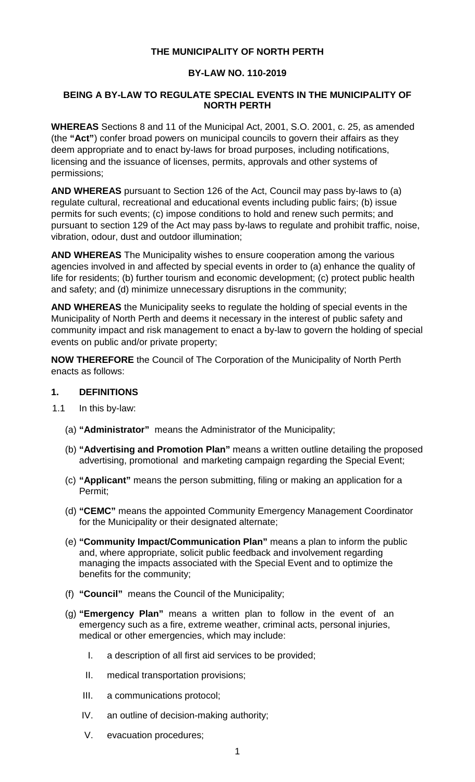### **THE MUNICIPALITY OF NORTH PERTH**

### **BY-LAW NO. 110-2019**

### **BEING A BY-LAW TO REGULATE SPECIAL EVENTS IN THE MUNICIPALITY OF NORTH PERTH**

**WHEREAS** Sections 8 and 11 of the Municipal Act, 2001, S.O. 2001, c. 25, as amended (the **"Act"**) confer broad powers on municipal councils to govern their affairs as they deem appropriate and to enact by-laws for broad purposes, including notifications, licensing and the issuance of licenses, permits, approvals and other systems of permissions;

**AND WHEREAS** pursuant to Section 126 of the Act, Council may pass by-laws to (a) regulate cultural, recreational and educational events including public fairs; (b) issue permits for such events; (c) impose conditions to hold and renew such permits; and pursuant to section 129 of the Act may pass by-laws to regulate and prohibit traffic, noise, vibration, odour, dust and outdoor illumination;

**AND WHEREAS** The Municipality wishes to ensure cooperation among the various agencies involved in and affected by special events in order to (a) enhance the quality of life for residents; (b) further tourism and economic development; (c) protect public health and safety; and (d) minimize unnecessary disruptions in the community;

**AND WHEREAS** the Municipality seeks to regulate the holding of special events in the Municipality of North Perth and deems it necessary in the interest of public safety and community impact and risk management to enact a by-law to govern the holding of special events on public and/or private property;

**NOW THEREFORE** the Council of The Corporation of the Municipality of North Perth enacts as follows:

#### **1. DEFINITIONS**

- 1.1 In this by-law:
	- (a) **"Administrator"** means the Administrator of the Municipality;
	- (b) **"Advertising and Promotion Plan"** means a written outline detailing the proposed advertising, promotional and marketing campaign regarding the Special Event;
	- (c) **"Applicant"** means the person submitting, filing or making an application for a Permit;
	- (d) **"CEMC"** means the appointed Community Emergency Management Coordinator for the Municipality or their designated alternate;
	- (e) **"Community Impact/Communication Plan"** means a plan to inform the public and, where appropriate, solicit public feedback and involvement regarding managing the impacts associated with the Special Event and to optimize the benefits for the community;
	- (f) **"Council"** means the Council of the Municipality;
	- (g) **"Emergency Plan"** means a written plan to follow in the event of an emergency such as a fire, extreme weather, criminal acts, personal injuries, medical or other emergencies, which may include:
		- I. a description of all first aid services to be provided;
		- II. medical transportation provisions;
		- III. a communications protocol;
		- IV. an outline of decision-making authority;
		- V. evacuation procedures;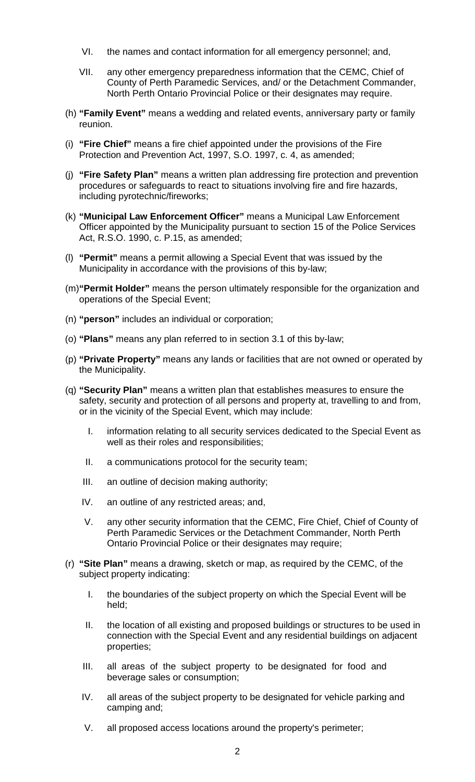- VI. the names and contact information for all emergency personnel; and,
- VII. any other emergency preparedness information that the CEMC, Chief of County of Perth Paramedic Services, and/ or the Detachment Commander, North Perth Ontario Provincial Police or their designates may require.
- (h) **"Family Event"** means a wedding and related events, anniversary party or family reunion.
- (i) **"Fire Chief"** means a fire chief appointed under the provisions of the Fire Protection and Prevention Act, 1997, S.O. 1997, c. 4, as amended;
- (j) **"Fire Safety Plan"** means a written plan addressing fire protection and prevention procedures or safeguards to react to situations involving fire and fire hazards, including pyrotechnic/fireworks;
- (k) **"Municipal Law Enforcement Officer"** means a Municipal Law Enforcement Officer appointed by the Municipality pursuant to section 15 of the Police Services Act, R.S.O. 1990, c. P.15, as amended;
- (l) **"Permit"** means a permit allowing a Special Event that was issued by the Municipality in accordance with the provisions of this by-law;
- (m)**"Permit Holder"** means the person ultimately responsible for the organization and operations of the Special Event;
- (n) **"person"** includes an individual or corporation;
- (o) **"Plans"** means any plan referred to in section 3.1 of this by-law;
- (p) **"Private Property"** means any lands or facilities that are not owned or operated by the Municipality.
- (q) **"Security Plan"** means a written plan that establishes measures to ensure the safety, security and protection of all persons and property at, travelling to and from, or in the vicinity of the Special Event, which may include:
	- I. information relating to all security services dedicated to the Special Event as well as their roles and responsibilities;
	- II. a communications protocol for the security team;
	- III. an outline of decision making authority;
	- IV. an outline of any restricted areas; and,
	- V. any other security information that the CEMC, Fire Chief, Chief of County of Perth Paramedic Services or the Detachment Commander, North Perth Ontario Provincial Police or their designates may require;
- (r) **"Site Plan"** means a drawing, sketch or map, as required by the CEMC, of the subject property indicating:
	- I. the boundaries of the subject property on which the Special Event will be held;
	- II. the location of all existing and proposed buildings or structures to be used in connection with the Special Event and any residential buildings on adjacent properties;
	- III. all areas of the subject property to be designated for food and beverage sales or consumption;
	- IV. all areas of the subject property to be designated for vehicle parking and camping and;
	- V. all proposed access locations around the property's perimeter;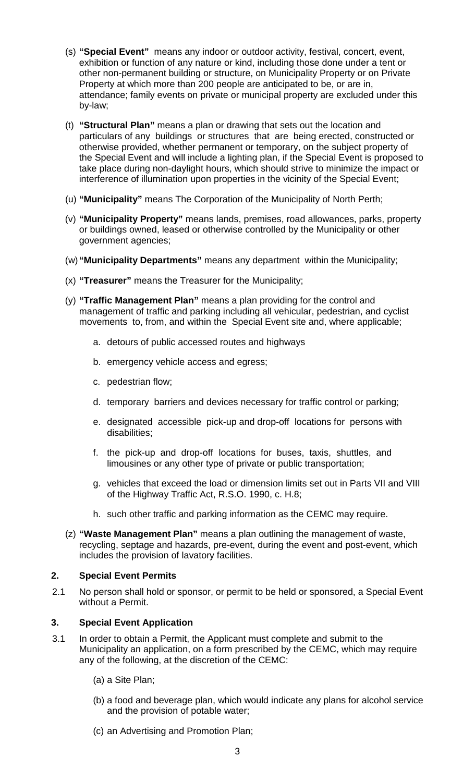- (s) **"Special Event"** means any indoor or outdoor activity, festival, concert, event, exhibition or function of any nature or kind, including those done under a tent or other non-permanent building or structure, on Municipality Property or on Private Property at which more than 200 people are anticipated to be, or are in, attendance; family events on private or municipal property are excluded under this by-law;
- (t) **"Structural Plan"** means a plan or drawing that sets out the location and particulars of any buildings or structures that are being erected, constructed or otherwise provided, whether permanent or temporary, on the subject property of the Special Event and will include a lighting plan, if the Special Event is proposed to take place during non-daylight hours, which should strive to minimize the impact or interference of illumination upon properties in the vicinity of the Special Event;
- (u) **"Municipality"** means The Corporation of the Municipality of North Perth;
- (v) **"Municipality Property"** means lands, premises, road allowances, parks, property or buildings owned, leased or otherwise controlled by the Municipality or other government agencies;
- (w)**"Municipality Departments"** means any department within the Municipality;
- (x) **"Treasurer"** means the Treasurer for the Municipality;
- (y) **"Traffic Management Plan"** means a plan providing for the control and management of traffic and parking including all vehicular, pedestrian, and cyclist movements to, from, and within the Special Event site and, where applicable;
	- a. detours of public accessed routes and highways
	- b. emergency vehicle access and egress;
	- c. pedestrian flow;
	- d. temporary barriers and devices necessary for traffic control or parking;
	- e. designated accessible pick-up and drop-off locations for persons with disabilities;
	- f. the pick-up and drop-off locations for buses, taxis, shuttles, and limousines or any other type of private or public transportation;
	- g. vehicles that exceed the load or dimension limits set out in Parts VII and VIII of the Highway Traffic Act, R.S.O. 1990, c. H.8;
	- h. such other traffic and parking information as the CEMC may require.
- (z) **"Waste Management Plan"** means a plan outlining the management of waste, recycling, septage and hazards, pre-event, during the event and post-event, which includes the provision of lavatory facilities.

# **2. Special Event Permits**

2.1 No person shall hold or sponsor, or permit to be held or sponsored, a Special Event without a Permit.

# **3. Special Event Application**

- 3.1 In order to obtain a Permit, the Applicant must complete and submit to the Municipality an application, on a form prescribed by the CEMC, which may require any of the following, at the discretion of the CEMC:
	- (a) a Site Plan;
	- (b) a food and beverage plan, which would indicate any plans for alcohol service and the provision of potable water;
	- (c) an Advertising and Promotion Plan;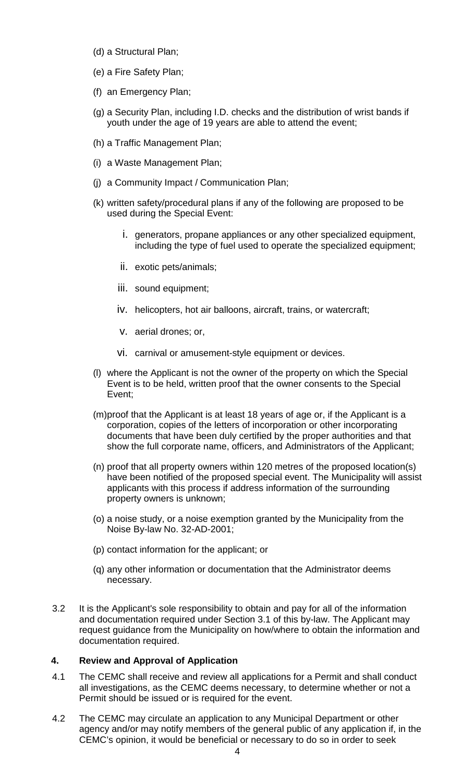- (d) a Structural Plan;
- (e) a Fire Safety Plan;
- (f) an Emergency Plan;
- (g) a Security Plan, including I.D. checks and the distribution of wrist bands if youth under the age of 19 years are able to attend the event;
- (h) a Traffic Management Plan;
- (i) a Waste Management Plan;
- (j) a Community Impact / Communication Plan;
- (k) written safety/procedural plans if any of the following are proposed to be used during the Special Event:
	- i. generators, propane appliances or any other specialized equipment, including the type of fuel used to operate the specialized equipment;
	- ii. exotic pets/animals;
	- iii. sound equipment;
	- iv. helicopters, hot air balloons, aircraft, trains, or watercraft;
	- v. aerial drones; or,
	- vi. carnival or amusement-style equipment or devices.
- (l) where the Applicant is not the owner of the property on which the Special Event is to be held, written proof that the owner consents to the Special Event;
- (m)proof that the Applicant is at least 18 years of age or, if the Applicant is a corporation, copies of the letters of incorporation or other incorporating documents that have been duly certified by the proper authorities and that show the full corporate name, officers, and Administrators of the Applicant;
- (n) proof that all property owners within 120 metres of the proposed location(s) have been notified of the proposed special event. The Municipality will assist applicants with this process if address information of the surrounding property owners is unknown;
- (o) a noise study, or a noise exemption granted by the Municipality from the Noise By-law No. 32-AD-2001;
- (p) contact information for the applicant; or
- (q) any other information or documentation that the Administrator deems necessary.
- 3.2 It is the Applicant's sole responsibility to obtain and pay for all of the information and documentation required under Section 3.1 of this by-law. The Applicant may request guidance from the Municipality on how/where to obtain the information and documentation required.

### **4. Review and Approval of Application**

- 4.1 The CEMC shall receive and review all applications for a Permit and shall conduct all investigations, as the CEMC deems necessary, to determine whether or not a Permit should be issued or is required for the event.
- 4.2 The CEMC may circulate an application to any Municipal Department or other agency and/or may notify members of the general public of any application if, in the CEMC's opinion, it would be beneficial or necessary to do so in order to seek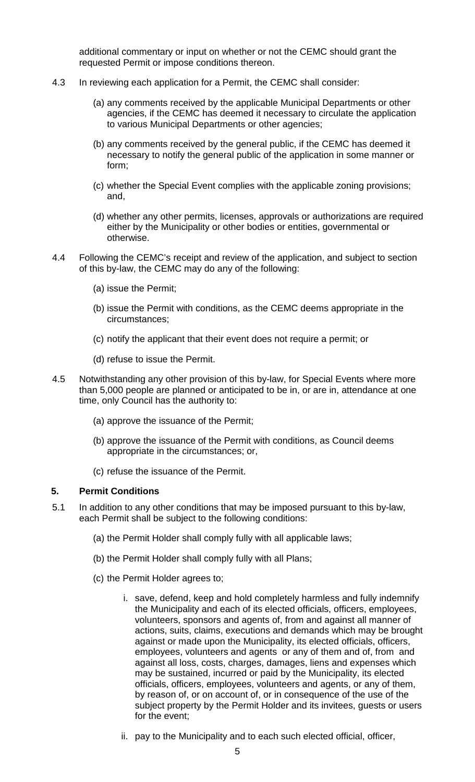additional commentary or input on whether or not the CEMC should grant the requested Permit or impose conditions thereon.

- 4.3 In reviewing each application for a Permit, the CEMC shall consider:
	- (a) any comments received by the applicable Municipal Departments or other agencies, if the CEMC has deemed it necessary to circulate the application to various Municipal Departments or other agencies;
	- (b) any comments received by the general public, if the CEMC has deemed it necessary to notify the general public of the application in some manner or form;
	- (c) whether the Special Event complies with the applicable zoning provisions; and,
	- (d) whether any other permits, licenses, approvals or authorizations are required either by the Municipality or other bodies or entities, governmental or otherwise.
- 4.4 Following the CEMC's receipt and review of the application, and subject to section of this by-law, the CEMC may do any of the following:
	- (a) issue the Permit;
	- (b) issue the Permit with conditions, as the CEMC deems appropriate in the circumstances;
	- (c) notify the applicant that their event does not require a permit; or
	- (d) refuse to issue the Permit.
- 4.5 Notwithstanding any other provision of this by-law, for Special Events where more than 5,000 people are planned or anticipated to be in, or are in, attendance at one time, only Council has the authority to:
	- (a) approve the issuance of the Permit;
	- (b) approve the issuance of the Permit with conditions, as Council deems appropriate in the circumstances; or,
	- (c) refuse the issuance of the Permit.

### **5. Permit Conditions**

- 5.1 In addition to any other conditions that may be imposed pursuant to this by-law, each Permit shall be subject to the following conditions:
	- (a) the Permit Holder shall comply fully with all applicable laws;
	- (b) the Permit Holder shall comply fully with all Plans;
	- (c) the Permit Holder agrees to;
		- i. save, defend, keep and hold completely harmless and fully indemnify the Municipality and each of its elected officials, officers, employees, volunteers, sponsors and agents of, from and against all manner of actions, suits, claims, executions and demands which may be brought against or made upon the Municipality, its elected officials, officers, employees, volunteers and agents or any of them and of, from and against all loss, costs, charges, damages, liens and expenses which may be sustained, incurred or paid by the Municipality, its elected officials, officers, employees, volunteers and agents, or any of them, by reason of, or on account of, or in consequence of the use of the subject property by the Permit Holder and its invitees, guests or users for the event;
		- ii. pay to the Municipality and to each such elected official, officer,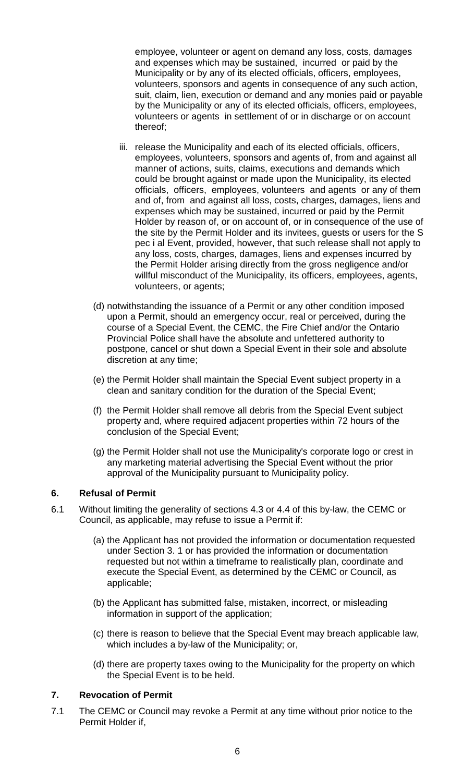employee, volunteer or agent on demand any loss, costs, damages and expenses which may be sustained, incurred or paid by the Municipality or by any of its elected officials, officers, employees, volunteers, sponsors and agents in consequence of any such action, suit, claim, lien, execution or demand and any monies paid or payable by the Municipality or any of its elected officials, officers, employees, volunteers or agents in settlement of or in discharge or on account thereof;

- iii. release the Municipality and each of its elected officials, officers, employees, volunteers, sponsors and agents of, from and against all manner of actions, suits, claims, executions and demands which could be brought against or made upon the Municipality, its elected officials, officers, employees, volunteers and agents or any of them and of, from and against all loss, costs, charges, damages, liens and expenses which may be sustained, incurred or paid by the Permit Holder by reason of, or on account of, or in consequence of the use of the site by the Permit Holder and its invitees, guests or users for the S pec i al Event, provided, however, that such release shall not apply to any loss, costs, charges, damages, liens and expenses incurred by the Permit Holder arising directly from the gross negligence and/or willful misconduct of the Municipality, its officers, employees, agents, volunteers, or agents;
- (d) notwithstanding the issuance of a Permit or any other condition imposed upon a Permit, should an emergency occur, real or perceived, during the course of a Special Event, the CEMC, the Fire Chief and/or the Ontario Provincial Police shall have the absolute and unfettered authority to postpone, cancel or shut down a Special Event in their sole and absolute discretion at any time;
- (e) the Permit Holder shall maintain the Special Event subject property in a clean and sanitary condition for the duration of the Special Event;
- (f) the Permit Holder shall remove all debris from the Special Event subject property and, where required adjacent properties within 72 hours of the conclusion of the Special Event;
- (g) the Permit Holder shall not use the Municipality's corporate logo or crest in any marketing material advertising the Special Event without the prior approval of the Municipality pursuant to Municipality policy.

### **6. Refusal of Permit**

- 6.1 Without limiting the generality of sections 4.3 or 4.4 of this by-law, the CEMC or Council, as applicable, may refuse to issue a Permit if:
	- (a) the Applicant has not provided the information or documentation requested under Section 3. 1 or has provided the information or documentation requested but not within a timeframe to realistically plan, coordinate and execute the Special Event, as determined by the CEMC or Council, as applicable;
	- (b) the Applicant has submitted false, mistaken, incorrect, or misleading information in support of the application;
	- (c) there is reason to believe that the Special Event may breach applicable law, which includes a by-law of the Municipality; or,
	- (d) there are property taxes owing to the Municipality for the property on which the Special Event is to be held.

### **7. Revocation of Permit**

7.1 The CEMC or Council may revoke a Permit at any time without prior notice to the Permit Holder if,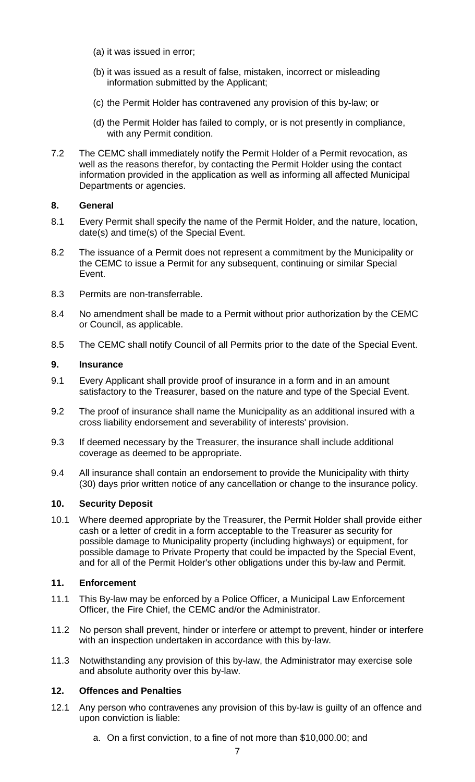- (a) it was issued in error;
- (b) it was issued as a result of false, mistaken, incorrect or misleading information submitted by the Applicant;
- (c) the Permit Holder has contravened any provision of this by-law; or
- (d) the Permit Holder has failed to comply, or is not presently in compliance, with any Permit condition.
- 7.2 The CEMC shall immediately notify the Permit Holder of a Permit revocation, as well as the reasons therefor, by contacting the Permit Holder using the contact information provided in the application as well as informing all affected Municipal Departments or agencies.

### **8. General**

- 8.1 Every Permit shall specify the name of the Permit Holder, and the nature, location, date(s) and time(s) of the Special Event.
- 8.2 The issuance of a Permit does not represent a commitment by the Municipality or the CEMC to issue a Permit for any subsequent, continuing or similar Special Event.
- 8.3 Permits are non-transferrable.
- 8.4 No amendment shall be made to a Permit without prior authorization by the CEMC or Council, as applicable.
- 8.5 The CEMC shall notify Council of all Permits prior to the date of the Special Event.

## **9. Insurance**

- 9.1 Every Applicant shall provide proof of insurance in a form and in an amount satisfactory to the Treasurer, based on the nature and type of the Special Event.
- 9.2 The proof of insurance shall name the Municipality as an additional insured with a cross liability endorsement and severability of interests' provision.
- 9.3 If deemed necessary by the Treasurer, the insurance shall include additional coverage as deemed to be appropriate.
- 9.4 All insurance shall contain an endorsement to provide the Municipality with thirty (30) days prior written notice of any cancellation or change to the insurance policy.

# **10. Security Deposit**

10.1 Where deemed appropriate by the Treasurer, the Permit Holder shall provide either cash or a letter of credit in a form acceptable to the Treasurer as security for possible damage to Municipality property (including highways) or equipment, for possible damage to Private Property that could be impacted by the Special Event, and for all of the Permit Holder's other obligations under this by-law and Permit.

# **11. Enforcement**

- 11.1 This By-law may be enforced by a Police Officer, a Municipal Law Enforcement Officer, the Fire Chief, the CEMC and/or the Administrator.
- 11.2 No person shall prevent, hinder or interfere or attempt to prevent, hinder or interfere with an inspection undertaken in accordance with this by-law.
- 11.3 Notwithstanding any provision of this by-law, the Administrator may exercise sole and absolute authority over this by-law.

# **12. Offences and Penalties**

- 12.1 Any person who contravenes any provision of this by-law is guilty of an offence and upon conviction is liable:
	- a. On a first conviction, to a fine of not more than \$10,000.00; and